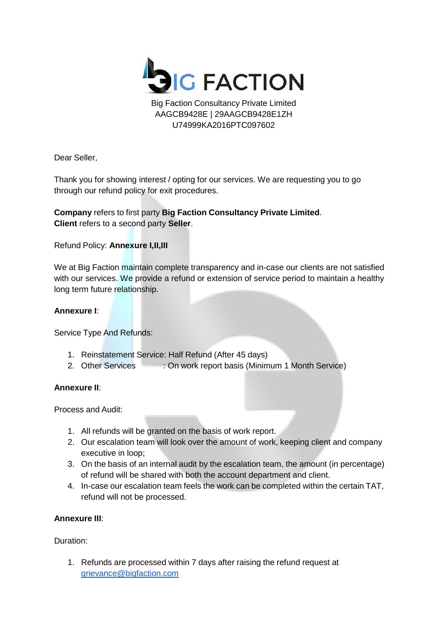

Big Faction Consultancy Private Limited AAGCB9428E | 29AAGCB9428E1ZH U74999KA2016PTC097602

Dear Seller,

Thank you for showing interest / opting for our services. We are requesting you to go through our refund policy for exit procedures.

# **Company** refers to first party **Big Faction Consultancy Private Limited**. **Client** refers to a second party **Seller**.

## Refund Policy: **Annexure I,II,III**

We at Big Faction maintain complete transparency and in-case our clients are not satisfied with our services. We provide a refund or extension of service period to maintain a healthy long term future relationship.

## **Annexure I**:

Service Type And Refunds:

- 1. Reinstatement Service: Half Refund (After 45 days)
- 2. Other Services : On work report basis (Minimum 1 Month Service)

#### **Annexure II**:

Process and Audit:

- 1. All refunds will be granted on the basis of work report.
- 2. Our escalation team will look over the amount of work, keeping client and company executive in loop;
- 3. On the basis of an internal audit by the escalation team, the amount (in percentage) of refund will be shared with both the account department and client.
- 4. In-case our escalation team feels the work can be completed within the certain TAT, refund will not be processed.

## **Annexure III**:

#### Duration:

1. Refunds are processed within 7 days after raising the refund request at [grievance@bigfaction.com](mailto:grievance@bigfaction.com)